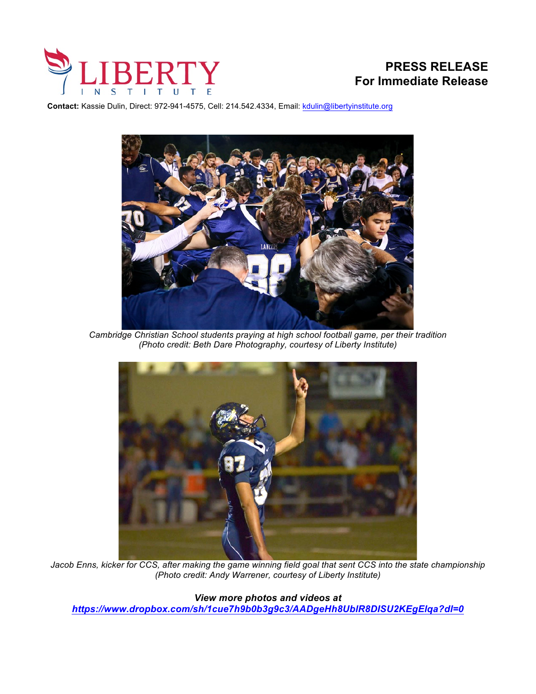

**Contact:** Kassie Dulin, Direct: 972-941-4575, Cell: 214.542.4334, Email: kdulin@libertyinstitute.org



*Cambridge Christian School students praying at high school football game, per their tradition (Photo credit: Beth Dare Photography, courtesy of Liberty Institute)* 



*Jacob Enns, kicker for CCS, after making the game winning field goal that sent CCS into the state championship (Photo credit: Andy Warrener, courtesy of Liberty Institute)*

*View more photos and videos at https://www.dropbox.com/sh/1cue7h9b0b3g9c3/AADgeHh8UblR8DISU2KEgElqa?dl=0*